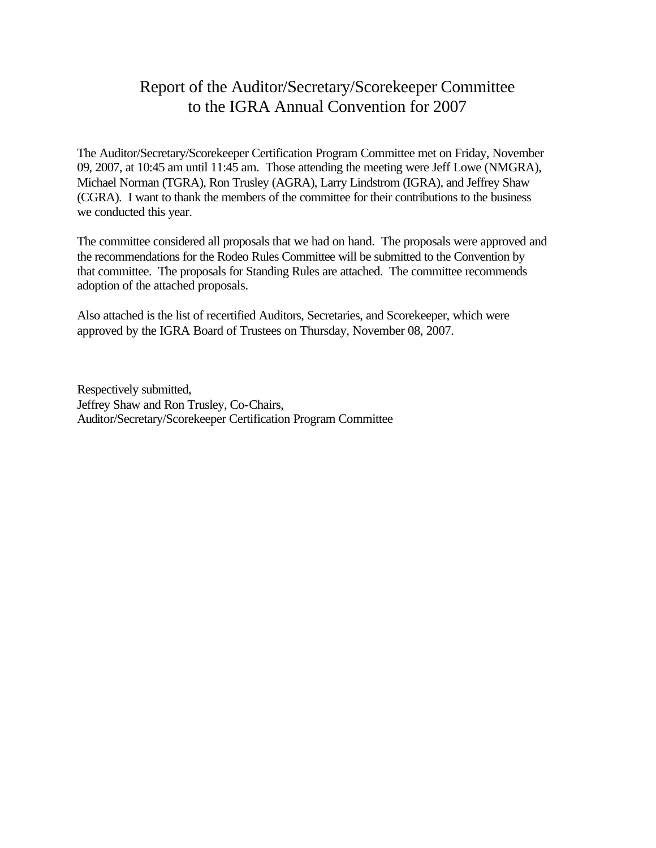# Report of the Auditor/Secretary/Scorekeeper Committee to the IGRA Annual Convention for 2007

The Auditor/Secretary/Scorekeeper Certification Program Committee met on Friday, November 09, 2007, at 10:45 am until 11:45 am. Those attending the meeting were Jeff Lowe (NMGRA), Michael Norman (TGRA), Ron Trusley (AGRA), Larry Lindstrom (IGRA), and Jeffrey Shaw (CGRA). I want to thank the members of the committee for their contributions to the business we conducted this year.

The committee considered all proposals that we had on hand. The proposals were approved and the recommendations for the Rodeo Rules Committee will be submitted to the Convention by that committee. The proposals for Standing Rules are attached. The committee recommends adoption of the attached proposals.

Also attached is the list of recertified Auditors, Secretaries, and Scorekeeper, which were approved by the IGRA Board of Trustees on Thursday, November 08, 2007.

Respectively submitted, Jeffrey Shaw and Ron Trusley, Co-Chairs, Auditor/Secretary/Scorekeeper Certification Program Committee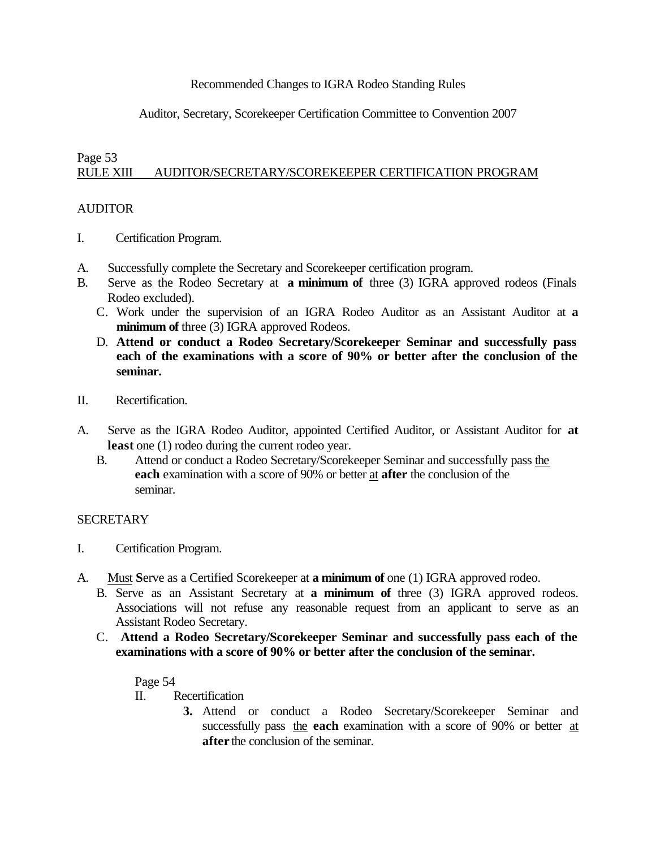### Recommended Changes to IGRA Rodeo Standing Rules

## Auditor, Secretary, Scorekeeper Certification Committee to Convention 2007

#### Page 53 RULE XIII AUDITOR/SECRETARY/SCOREKEEPER CERTIFICATION PROGRAM

#### **AUDITOR**

- I. Certification Program.
- A. Successfully complete the Secretary and Scorekeeper certification program.
- B. Serve as the Rodeo Secretary at **a minimum of** three (3) IGRA approved rodeos (Finals Rodeo excluded).
	- C. Work under the supervision of an IGRA Rodeo Auditor as an Assistant Auditor at **a minimum of** three (3) IGRA approved Rodeos.
	- D. **Attend or conduct a Rodeo Secretary/Scorekeeper Seminar and successfully pass each of the examinations with a score of 90% or better after the conclusion of the seminar.**
- II. Recertification.
- A. Serve as the IGRA Rodeo Auditor, appointed Certified Auditor, or Assistant Auditor for **at least** one (1) rodeo during the current rodeo year.
	- B. Attend or conduct a Rodeo Secretary/Scorekeeper Seminar and successfully pass the **each** examination with a score of 90% or better at **after** the conclusion of the seminar.

#### **SECRETARY**

- I. Certification Program.
- A. Must **S**erve as a Certified Scorekeeper at **a minimum of** one (1) IGRA approved rodeo.
	- B. Serve as an Assistant Secretary at **a minimum of** three (3) IGRA approved rodeos. Associations will not refuse any reasonable request from an applicant to serve as an Assistant Rodeo Secretary.
	- C. **Attend a Rodeo Secretary/Scorekeeper Seminar and successfully pass each of the examinations with a score of 90% or better after the conclusion of the seminar.**

Page 54

- II. Recertification
	- **3.** Attend or conduct a Rodeo Secretary/Scorekeeper Seminar and successfully pass the **each** examination with a score of 90% or better at **after** the conclusion of the seminar.